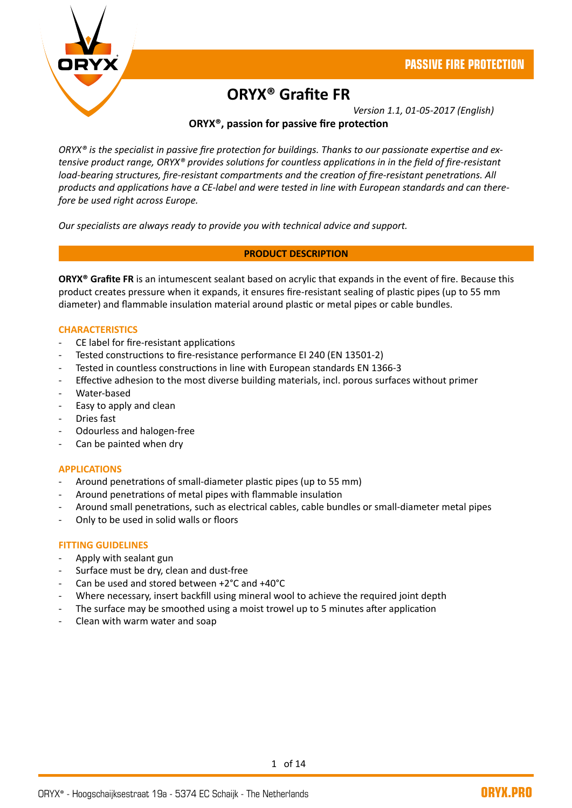

# **ORYX® Grafite FR**

*Version 1.1, 01-05-2017 (English)*

# **ORYX®, passion for passive fire protection**

*ORYX® is the specialist in passive fire protection for buildings. Thanks to our passionate expertise and extensive product range, ORYX® provides solutions for countless applications in in the field of fire-resistant load-bearing structures, fire-resistant compartments and the creation of fire-resistant penetrations. All products and applications have a CE-label and were tested in line with European standards and can therefore be used right across Europe.*

*Our specialists are always ready to provide you with technical advice and support.*

#### **PRODUCT DESCRIPTION**

**ORYX® Grafite FR** is an intumescent sealant based on acrylic that expands in the event of fire. Because this product creates pressure when it expands, it ensures fire-resistant sealing of plastic pipes (up to 55 mm diameter) and flammable insulation material around plastic or metal pipes or cable bundles.

#### **CHARACTERISTICS**

- CE label for fire-resistant applications
- Tested constructions to fire-resistance performance EI 240 (EN 13501-2)
- Tested in countless constructions in line with European standards EN 1366-3
- Effective adhesion to the most diverse building materials, incl. porous surfaces without primer
- Water-based
- Easy to apply and clean
- Dries fast
- Odourless and halogen-free
- Can be painted when dry

#### **APPLICATIONS**

- Around penetrations of small-diameter plastic pipes (up to 55 mm)
- Around penetrations of metal pipes with flammable insulation
- Around small penetrations, such as electrical cables, cable bundles or small-diameter metal pipes
- Only to be used in solid walls or floors

#### **FITTING GUIDELINES**

- Apply with sealant gun
- Surface must be dry, clean and dust-free
- Can be used and stored between +2°C and +40°C
- Where necessary, insert backfill using mineral wool to achieve the required joint depth
- The surface may be smoothed using a moist trowel up to 5 minutes after application
- Clean with warm water and soap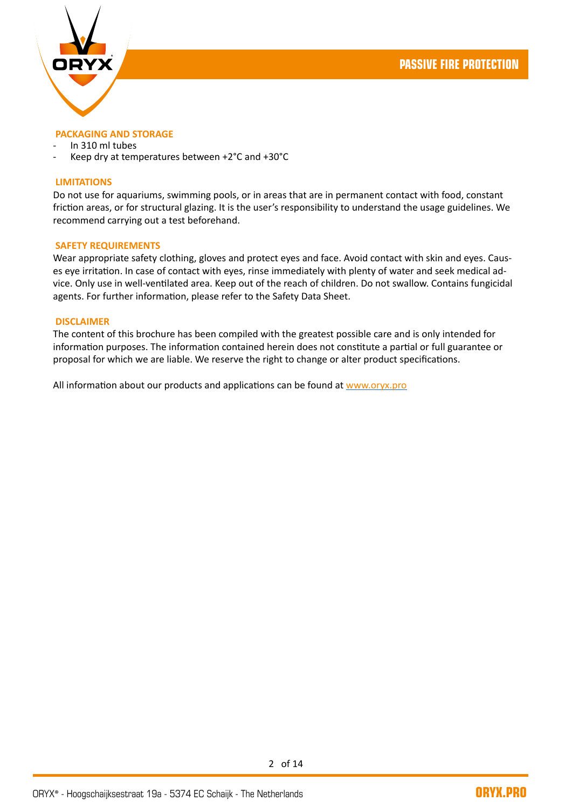

#### **PACKAGING AND STORAGE**

- In 310 ml tubes
- Keep dry at temperatures between +2°C and +30°C

#### **LIMITATIONS**

Do not use for aquariums, swimming pools, or in areas that are in permanent contact with food, constant friction areas, or for structural glazing. It is the user's responsibility to understand the usage guidelines. We recommend carrying out a test beforehand.

#### **SAFETY REQUIREMENTS**

Wear appropriate safety clothing, gloves and protect eyes and face. Avoid contact with skin and eyes. Causes eye irritation. In case of contact with eyes, rinse immediately with plenty of water and seek medical advice. Only use in well-ventilated area. Keep out of the reach of children. Do not swallow. Contains fungicidal agents. For further information, please refer to the Safety Data Sheet.

#### **DISCLAIMER**

The content of this brochure has been compiled with the greatest possible care and is only intended for information purposes. The information contained herein does not constitute a partial or full guarantee or proposal for which we are liable. We reserve the right to change or alter product specifications.

All information about our products and applications can be found at [www.oryx.pro](http://www.oryx.pro/)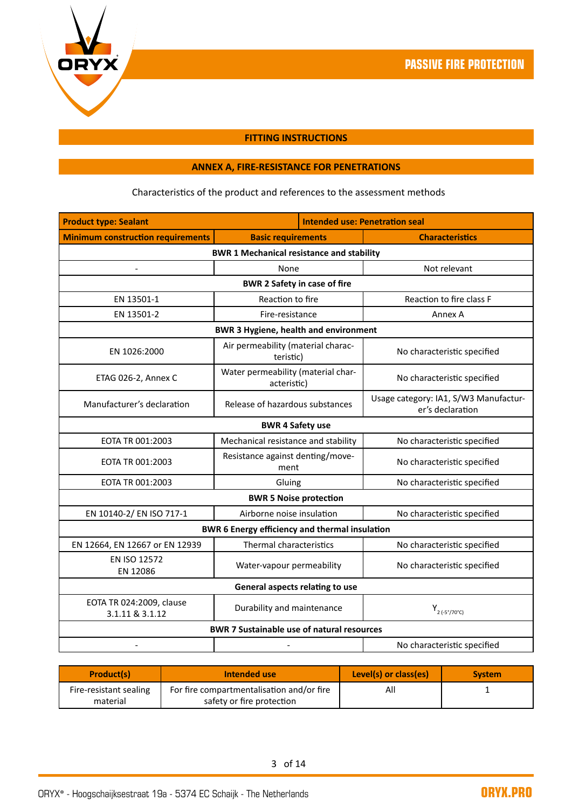



#### **FITTING INSTRUCTIONS**

# **ANNEX A, FIRE-RESISTANCE FOR PENETRATIONS**

# Characteristics of the product and references to the assessment methods

| <b>Product type: Sealant</b>                     |                                                       | <b>Intended use: Penetration seal</b>                     |  |
|--------------------------------------------------|-------------------------------------------------------|-----------------------------------------------------------|--|
| <b>Minimum construction requirements</b>         | <b>Basic requirements</b>                             | <b>Characteristics</b>                                    |  |
| <b>BWR 1 Mechanical resistance and stability</b> |                                                       |                                                           |  |
|                                                  | None                                                  | Not relevant                                              |  |
|                                                  | <b>BWR 2 Safety in case of fire</b>                   |                                                           |  |
| EN 13501-1                                       | Reaction to fire                                      | Reaction to fire class F                                  |  |
| EN 13501-2                                       | Fire-resistance                                       | Annex A                                                   |  |
|                                                  | <b>BWR 3 Hygiene, health and environment</b>          |                                                           |  |
| EN 1026:2000                                     | Air permeability (material charac-<br>teristic)       | No characteristic specified                               |  |
| ETAG 026-2, Annex C                              | Water permeability (material char-<br>acteristic)     | No characteristic specified                               |  |
| Manufacturer's declaration                       | Release of hazardous substances                       | Usage category: IA1, S/W3 Manufactur-<br>er's declaration |  |
|                                                  | <b>BWR 4 Safety use</b>                               |                                                           |  |
| EOTA TR 001:2003                                 | Mechanical resistance and stability                   | No characteristic specified                               |  |
| EOTA TR 001:2003                                 | Resistance against denting/move-<br>ment              | No characteristic specified                               |  |
| EOTA TR 001:2003                                 | Gluing                                                | No characteristic specified                               |  |
|                                                  | <b>BWR 5 Noise protection</b>                         |                                                           |  |
| EN 10140-2/ EN ISO 717-1                         | Airborne noise insulation                             | No characteristic specified                               |  |
|                                                  | <b>BWR 6 Energy efficiency and thermal insulation</b> |                                                           |  |
| EN 12664, EN 12667 or EN 12939                   | Thermal characteristics                               | No characteristic specified                               |  |
| EN ISO 12572<br>EN 12086                         | Water-vapour permeability                             | No characteristic specified                               |  |
| General aspects relating to use                  |                                                       |                                                           |  |
| EOTA TR 024:2009, clause<br>3.1.11 & 3.1.12      | Durability and maintenance                            | $Y_{2 ( -5^{\circ}/70^{\circ}C)}$                         |  |
|                                                  | <b>BWR 7 Sustainable use of natural resources</b>     |                                                           |  |
|                                                  |                                                       | No characteristic specified                               |  |

| <b>Product(s)</b>      | Intended use                              | Level(s) or class(es) | <b>System</b> |
|------------------------|-------------------------------------------|-----------------------|---------------|
| Fire-resistant sealing | For fire compartmentalisation and/or fire | All                   |               |
| material               | safety or fire protection                 |                       |               |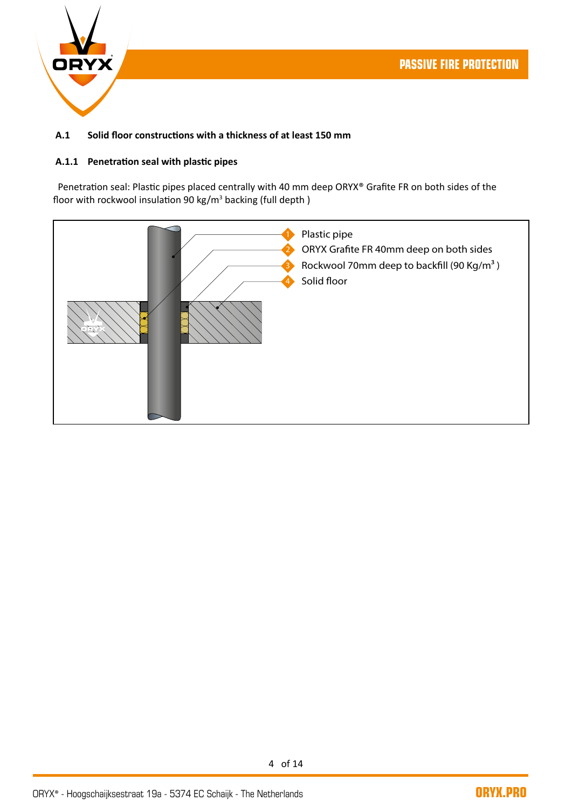

# **A.1 Solid floor constructions with a thickness of at least 150 mm**

#### **A.1.1 Penetration seal with plastic pipes**

Penetration seal: Plastic pipes placed centrally with 40 mm deep ORYX® Grafite FR on both sides of the floor with rockwool insulation 90 kg/m<sup>3</sup> backing (full depth)

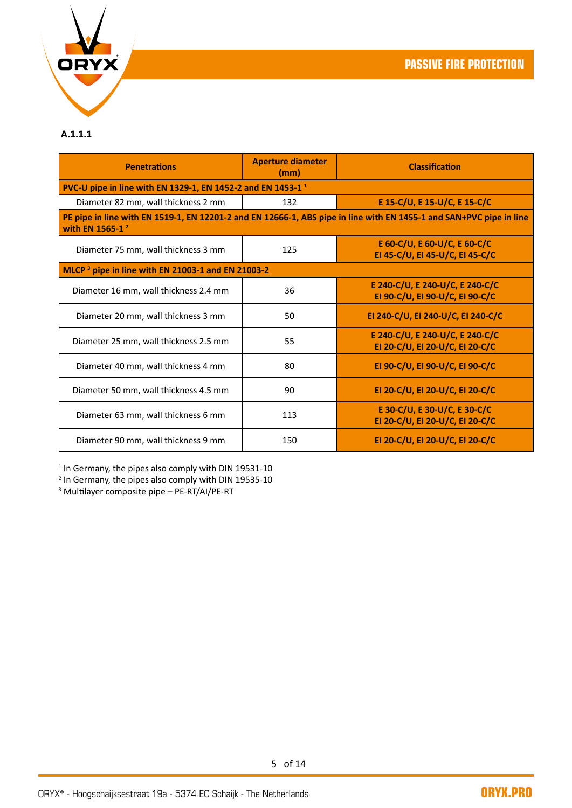

# **A.1.1.1**

| <b>Penetrations</b>                                                     | <b>Aperture diameter</b><br>(mm) | <b>Classification</b>                                                                                               |
|-------------------------------------------------------------------------|----------------------------------|---------------------------------------------------------------------------------------------------------------------|
| PVC-U pipe in line with EN 1329-1, EN 1452-2 and EN 1453-1 <sup>1</sup> |                                  |                                                                                                                     |
| Diameter 82 mm, wall thickness 2 mm                                     | 132                              | E 15-C/U, E 15-U/C, E 15-C/C                                                                                        |
| with EN 1565-1 <sup>2</sup>                                             |                                  | PE pipe in line with EN 1519-1, EN 12201-2 and EN 12666-1, ABS pipe in line with EN 1455-1 and SAN+PVC pipe in line |
| Diameter 75 mm, wall thickness 3 mm                                     | 125                              | E 60-C/U, E 60-U/C, E 60-C/C<br>EI 45-C/U, EI 45-U/C, EI 45-C/C                                                     |
| MLCP <sup>3</sup> pipe in line with EN 21003-1 and EN 21003-2           |                                  |                                                                                                                     |
| Diameter 16 mm, wall thickness 2.4 mm                                   | 36                               | E 240-C/U, E 240-U/C, E 240-C/C<br>EI 90-C/U, EI 90-U/C, EI 90-C/C                                                  |
| Diameter 20 mm, wall thickness 3 mm                                     | 50                               | EI 240-C/U, EI 240-U/C, EI 240-C/C                                                                                  |
| Diameter 25 mm, wall thickness 2.5 mm                                   | 55                               | E 240-C/U, E 240-U/C, E 240-C/C<br>EI 20-C/U, EI 20-U/C, EI 20-C/C                                                  |
| Diameter 40 mm, wall thickness 4 mm                                     | 80                               | EI 90-C/U, EI 90-U/C, EI 90-C/C                                                                                     |
| Diameter 50 mm, wall thickness 4.5 mm                                   | 90                               | EI 20-C/U, EI 20-U/C, EI 20-C/C                                                                                     |
| Diameter 63 mm, wall thickness 6 mm                                     | 113                              | E 30-C/U, E 30-U/C, E 30-C/C<br>EI 20-C/U, EI 20-U/C, EI 20-C/C                                                     |
| Diameter 90 mm, wall thickness 9 mm                                     | 150                              | EI 20-C/U, EI 20-U/C, EI 20-C/C                                                                                     |

<sup>1</sup> In Germany, the pipes also comply with DIN 19531-10<br><sup>2</sup> In Germany, the pipes also comply with DIN 19535-10<br><sup>3</sup> Multilayer composite pipe – PE-RT/AI/PE-RT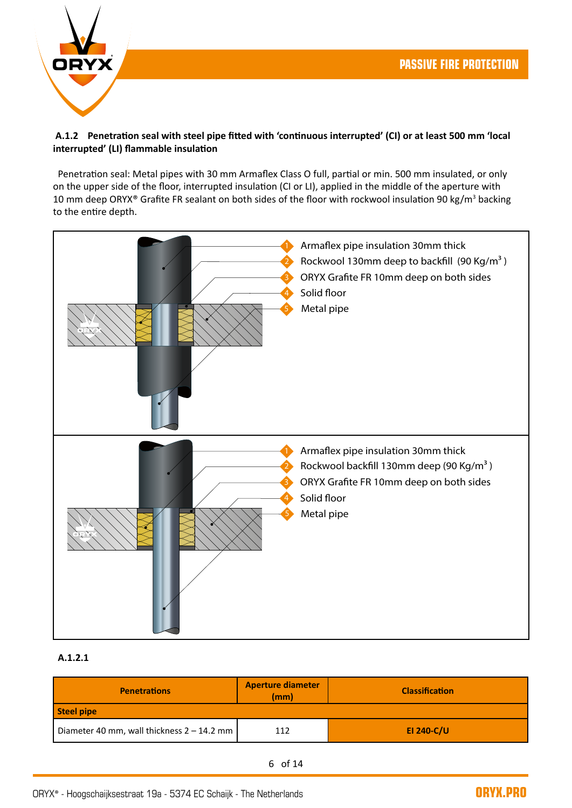

# **A.1.2 Penetration seal with steel pipe fitted with 'continuous interrupted' (CI) or at least 500 mm 'local interrupted' (LI) flammable insulation**

 Penetration seal: Metal pipes with 30 mm Armaflex Class O full, partial or min. 500 mm insulated, or only on the upper side of the floor, interrupted insulation (CI or LI), applied in the middle of the aperture with 10 mm deep ORYX® Grafite FR sealant on both sides of the floor with rockwool insulation 90 kg/m<sup>3</sup> backing to the entire depth.



# **A.1.2.1**

| <b>Penetrations</b>                          | <b>Aperture diameter</b><br>(mm) | <b>Classification</b> |
|----------------------------------------------|----------------------------------|-----------------------|
| Steel pipe                                   |                                  |                       |
| Diameter 40 mm, wall thickness $2 - 14.2$ mm | 112                              | EI 240-C/U            |

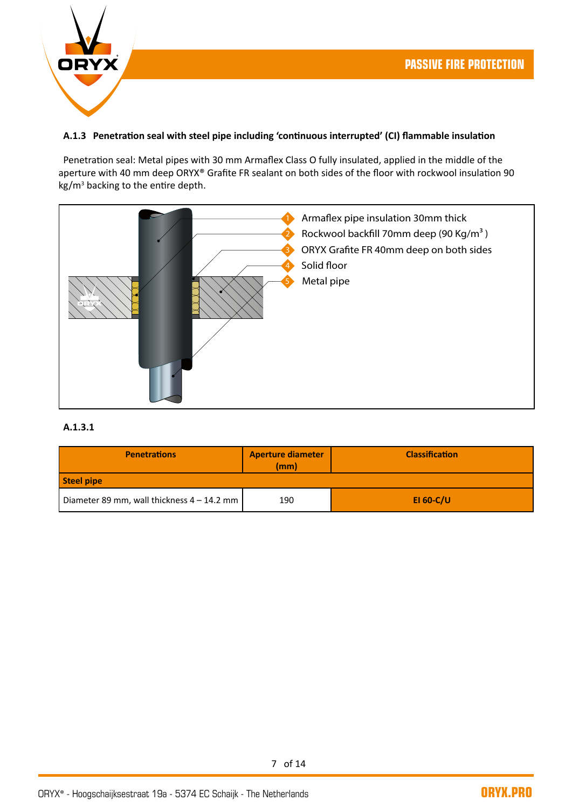

### **A.1.3 Penetration seal with steel pipe including 'continuous interrupted' (CI) flammable insulation**

 Penetration seal: Metal pipes with 30 mm Armaflex Class O fully insulated, applied in the middle of the aperture with 40 mm deep ORYX® Grafite FR sealant on both sides of the floor with rockwool insulation 90 kg/m<sup>3</sup> backing to the entire depth.



#### **A.1.3.1**

| <b>Penetrations</b>                        | <b>Aperture diameter</b><br>(mm) | <b>Classification</b> |
|--------------------------------------------|----------------------------------|-----------------------|
| Steel pipe                                 |                                  |                       |
| Diameter 89 mm, wall thickness 4 – 14.2 mm | 190                              | EI 60-C/U             |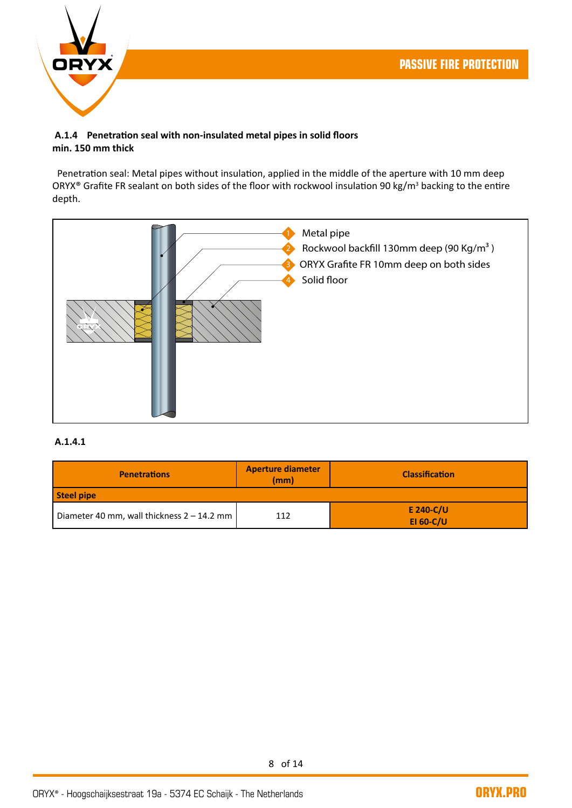

#### **A.1.4 Penetration seal with non-insulated metal pipes in solid floors min. 150 mm thick**

 Penetration seal: Metal pipes without insulation, applied in the middle of the aperture with 10 mm deep ORYX® Grafite FR sealant on both sides of the floor with rockwool insulation 90 kg/m<sup>3</sup> backing to the entire depth.



## **A.1.4.1**

| <b>Penetrations</b>                          | <b>Aperture diameter</b><br>(mm) | <b>Classification</b>         |
|----------------------------------------------|----------------------------------|-------------------------------|
| Steel pipe                                   |                                  |                               |
| Diameter 40 mm, wall thickness $2 - 14.2$ mm | 112                              | E 240-C/U<br><b>EI 60-C/U</b> |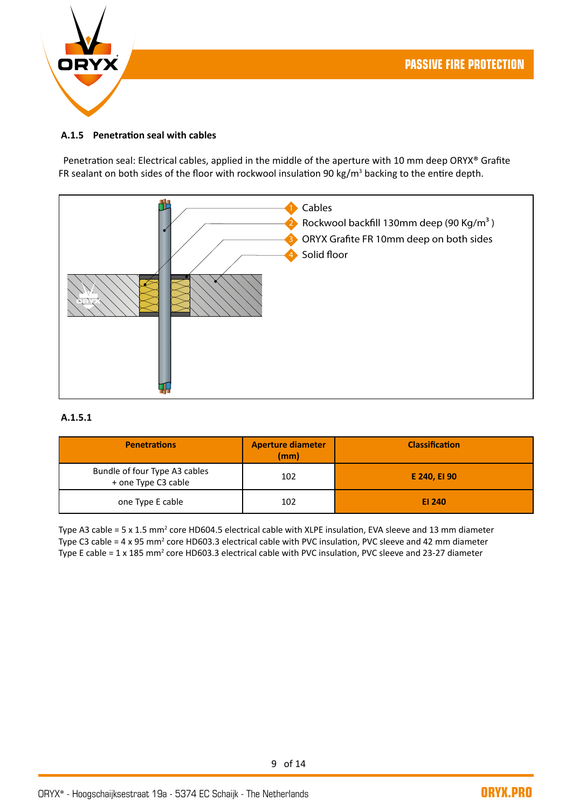

#### **A.1.5 Penetration seal with cables**

Penetration seal: Electrical cables, applied in the middle of the aperture with 10 mm deep ORYX® Grafite FR sealant on both sides of the floor with rockwool insulation 90 kg/m<sup>3</sup> backing to the entire depth.



#### **A.1.5.1**

| <b>Penetrations</b>                                  | <b>Aperture diameter</b><br>(mm) | <b>Classification</b> |
|------------------------------------------------------|----------------------------------|-----------------------|
| Bundle of four Type A3 cables<br>+ one Type C3 cable | 102                              | E 240, EI 90          |
| one Type E cable                                     | 102                              | EI 240                |

Type A3 cable = 5 x 1.5 mm<sup>2</sup> core HD604.5 electrical cable with XLPE insulation, EVA sleeve and 13 mm diameter Type C3 cable = 4 x 95 mm<sup>2</sup> core HD603.3 electrical cable with PVC insulation, PVC sleeve and 42 mm diameter Type E cable = 1 x 185 mm<sup>2</sup> core HD603.3 electrical cable with PVC insulation, PVC sleeve and 23-27 diameter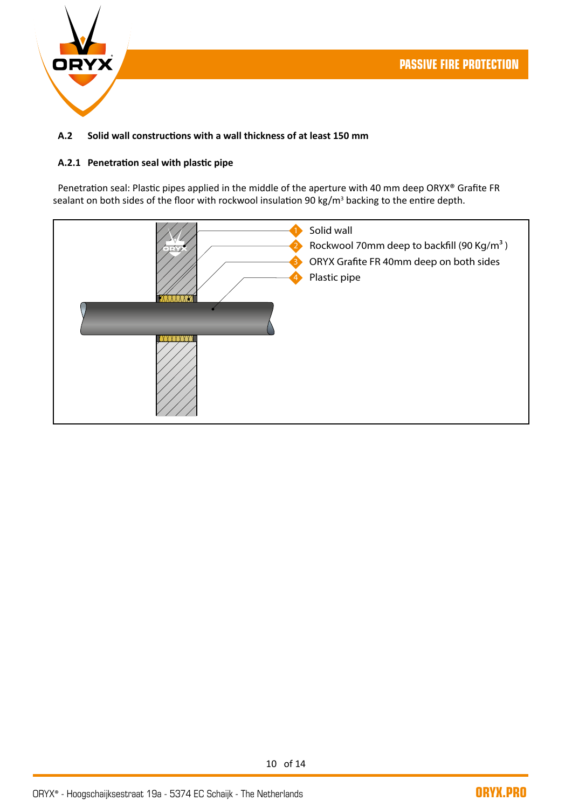

# **A.2 Solid wall constructions with a wall thickness of at least 150 mm**

## **A.2.1 Penetration seal with plastic pipe**

 Penetration seal: Plastic pipes applied in the middle of the aperture with 40 mm deep ORYX® Grafite FR sealant on both sides of the floor with rockwool insulation 90 kg/m<sup>3</sup> backing to the entire depth.

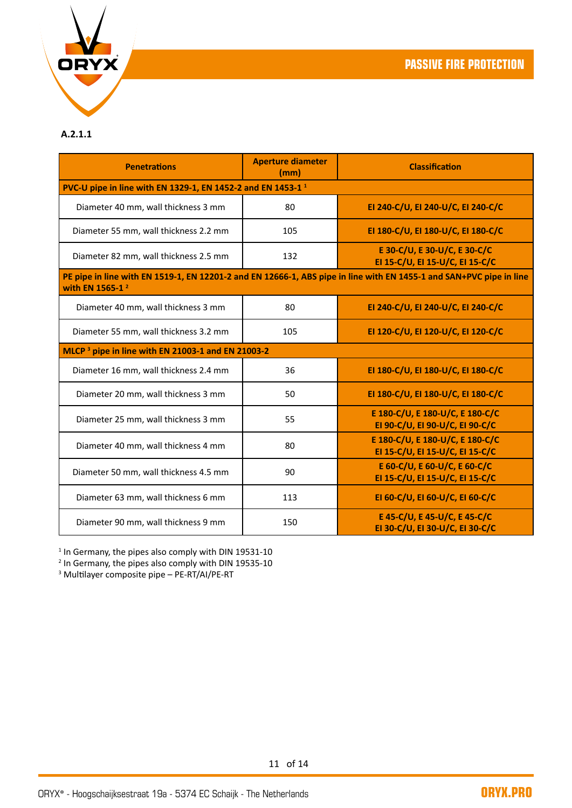

## **A.2.1.1**

| <b>Penetrations</b>                                                     | <b>Aperture diameter</b><br>(mm) | <b>Classification</b>                                                                                               |  |  |  |
|-------------------------------------------------------------------------|----------------------------------|---------------------------------------------------------------------------------------------------------------------|--|--|--|
| PVC-U pipe in line with EN 1329-1, EN 1452-2 and EN 1453-1 <sup>1</sup> |                                  |                                                                                                                     |  |  |  |
| Diameter 40 mm, wall thickness 3 mm                                     | 80                               | EI 240-C/U, EI 240-U/C, EI 240-C/C                                                                                  |  |  |  |
| Diameter 55 mm, wall thickness 2.2 mm                                   | 105                              | EI 180-C/U, EI 180-U/C, EI 180-C/C                                                                                  |  |  |  |
| Diameter 82 mm, wall thickness 2.5 mm                                   | 132                              | E 30-C/U, E 30-U/C, E 30-C/C<br>EI 15-C/U, EI 15-U/C, EI 15-C/C                                                     |  |  |  |
| with EN 1565-1 <sup>2</sup>                                             |                                  | PE pipe in line with EN 1519-1, EN 12201-2 and EN 12666-1, ABS pipe in line with EN 1455-1 and SAN+PVC pipe in line |  |  |  |
| Diameter 40 mm, wall thickness 3 mm                                     | 80                               | EI 240-C/U, EI 240-U/C, EI 240-C/C                                                                                  |  |  |  |
| Diameter 55 mm, wall thickness 3.2 mm                                   | 105                              | EI 120-C/U, EI 120-U/C, EI 120-C/C                                                                                  |  |  |  |
| MLCP <sup>3</sup> pipe in line with EN 21003-1 and EN 21003-2           |                                  |                                                                                                                     |  |  |  |
| Diameter 16 mm, wall thickness 2.4 mm                                   | 36                               | EI 180-C/U, EI 180-U/C, EI 180-C/C                                                                                  |  |  |  |
| Diameter 20 mm, wall thickness 3 mm                                     | 50                               | EI 180-C/U, EI 180-U/C, EI 180-C/C                                                                                  |  |  |  |
| Diameter 25 mm, wall thickness 3 mm                                     | 55                               | E 180-C/U, E 180-U/C, E 180-C/C<br>EI 90-C/U, EI 90-U/C, EI 90-C/C                                                  |  |  |  |
| Diameter 40 mm, wall thickness 4 mm                                     | 80                               | E 180-C/U, E 180-U/C, E 180-C/C<br>EI 15-C/U, EI 15-U/C, EI 15-C/C                                                  |  |  |  |
| Diameter 50 mm, wall thickness 4.5 mm                                   | 90                               | E 60-C/U, E 60-U/C, E 60-C/C<br>EI 15-C/U, EI 15-U/C, EI 15-C/C                                                     |  |  |  |
| Diameter 63 mm, wall thickness 6 mm                                     | 113                              | EI 60-C/U, EI 60-U/C, EI 60-C/C                                                                                     |  |  |  |
| Diameter 90 mm, wall thickness 9 mm                                     | 150                              | E 45-C/U, E 45-U/C, E 45-C/C<br>EI 30-C/U, EI 30-U/C, EI 30-C/C                                                     |  |  |  |

<sup>1</sup> In Germany, the pipes also comply with DIN 19531-10<br><sup>2</sup> In Germany, the pipes also comply with DIN 19535-10

3 Multilayer composite pipe – PE-RT/AI/PE-RT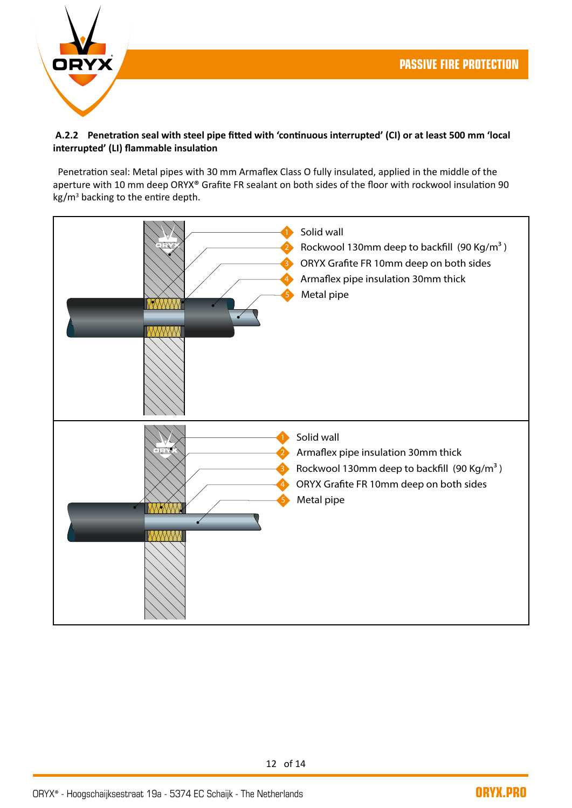

# **A.2.2 Penetration seal with steel pipe fitted with 'continuous interrupted' (CI) or at least 500 mm 'local interrupted' (LI) flammable insulation**

 Penetration seal: Metal pipes with 30 mm Armaflex Class O fully insulated, applied in the middle of the aperture with 10 mm deep ORYX® Grafite FR sealant on both sides of the floor with rockwool insulation 90 kg/m<sup>3</sup> backing to the entire depth.

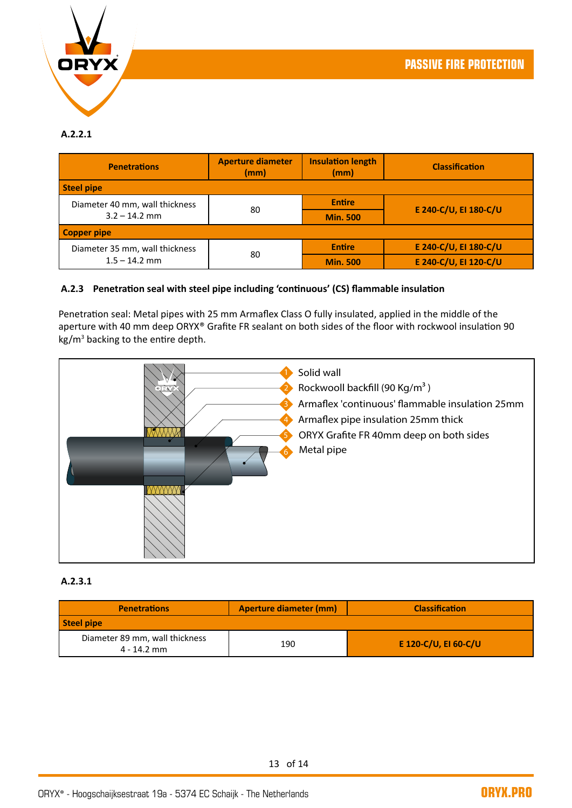

# **A.2.2.1**

| <b>Penetrations</b>            | <b>Aperture diameter</b><br>(mm) | <b>Insulation length</b><br>(mm) | <b>Classification</b> |
|--------------------------------|----------------------------------|----------------------------------|-----------------------|
| Steel pipe                     |                                  |                                  |                       |
| Diameter 40 mm, wall thickness | 80                               | <b>Entire</b>                    | E 240-C/U, EI 180-C/U |
| $3.2 - 14.2$ mm                |                                  | <b>Min. 500</b>                  |                       |
| <b>Copper pipe</b>             |                                  |                                  |                       |
| Diameter 35 mm, wall thickness |                                  | <b>Entire</b>                    | E 240-C/U, EI 180-C/U |
| $1.5 - 14.2$ mm                | 80                               | <b>Min. 500</b>                  | E 240-C/U, EI 120-C/U |

## **A.2.3 Penetration seal with steel pipe including 'continuous' (CS) flammable insulation**

Penetration seal: Metal pipes with 25 mm Armaflex Class O fully insulated, applied in the middle of the aperture with 40 mm deep ORYX® Grafite FR sealant on both sides of the floor with rockwool insulation 90 kg/m<sup>3</sup> backing to the entire depth.



#### **A.2.3.1**

| <b>Penetrations</b>                           | Aperture diameter (mm) | <b>Classification</b> |
|-----------------------------------------------|------------------------|-----------------------|
| Steel pipe                                    |                        |                       |
| Diameter 89 mm, wall thickness<br>4 - 14.2 mm | 190                    | E 120-C/U, EI 60-C/U  |